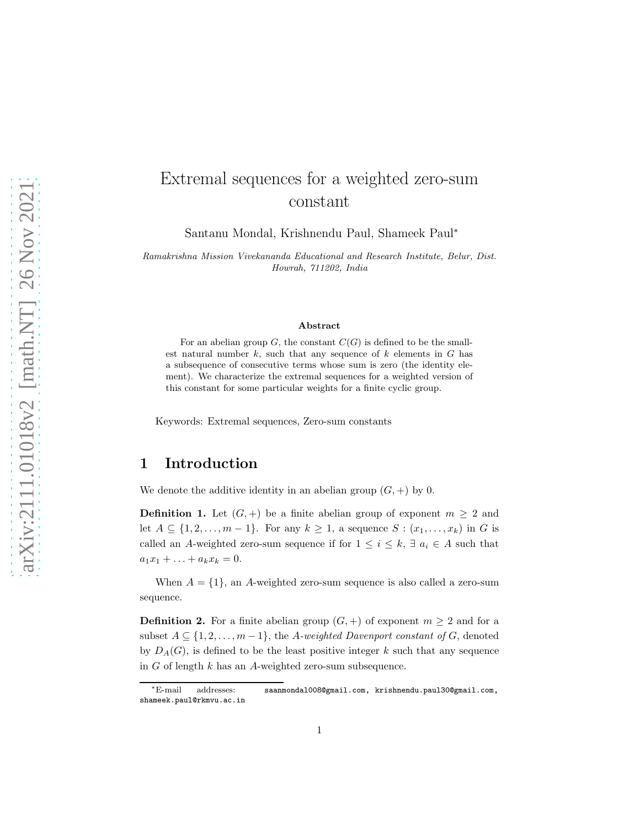# Extremal sequences for a weighted zero-sum constant

Santanu Mondal, Krishnendu Paul, Shameek Paul<sup>∗</sup>

Ramakrishna Mission Vivekananda Educational and Research Institute, Belur, Dist. Howrah, 711202, India

#### Abstract

For an abelian group  $G$ , the constant  $C(G)$  is defined to be the smallest natural number  $k$ , such that any sequence of  $k$  elements in  $G$  has a subsequence of consecutive terms whose sum is zero (the identity element). We characterize the extremal sequences for a weighted version of this constant for some particular weights for a finite cyclic group.

Keywords: Extremal sequences, Zero-sum constants

#### 1 Introduction

We denote the additive identity in an abelian group  $(G, +)$  by 0.

**Definition 1.** Let  $(G, +)$  be a finite abelian group of exponent  $m \geq 2$  and let  $A \subseteq \{1, 2, \ldots, m-1\}$ . For any  $k \geq 1$ , a sequence  $S : (x_1, \ldots, x_k)$  in G is called an A-weighted zero-sum sequence if for  $1 \leq i \leq k$ ,  $\exists a_i \in A$  such that  $a_1x_1 + \ldots + a_kx_k = 0.$ 

When  $A = \{1\}$ , an A-weighted zero-sum sequence is also called a zero-sum sequence.

**Definition 2.** For a finite abelian group  $(G,+)$  of exponent  $m \geq 2$  and for a subset  $A \subseteq \{1, 2, \ldots, m-1\}$ , the A-weighted Davenport constant of G, denoted by  $D<sub>A</sub>(G)$ , is defined to be the least positive integer k such that any sequence in G of length k has an A-weighted zero-sum subsequence.

<sup>∗</sup>E-mail addresses: saanmondal008@gmail.com, krishnendu.paul30@gmail.com, shameek.paul@rkmvu.ac.in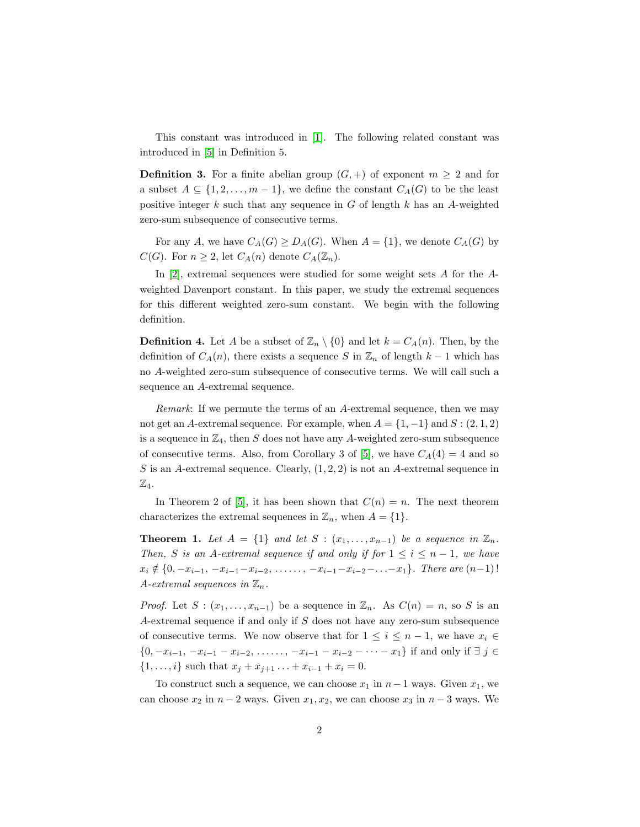This constant was introduced in [\[1\]](#page-17-0). The following related constant was introduced in [\[5\]](#page-17-1) in Definition 5.

**Definition 3.** For a finite abelian group  $(G, +)$  of exponent  $m \geq 2$  and for a subset  $A \subseteq \{1, 2, \ldots, m-1\}$ , we define the constant  $C_A(G)$  to be the least positive integer  $k$  such that any sequence in  $G$  of length  $k$  has an A-weighted zero-sum subsequence of consecutive terms.

For any A, we have  $C_A(G) \ge D_A(G)$ . When  $A = \{1\}$ , we denote  $C_A(G)$  by  $C(G)$ . For  $n \geq 2$ , let  $C_A(n)$  denote  $C_A(\mathbb{Z}_n)$ .

In [\[2\]](#page-17-2), extremal sequences were studied for some weight sets A for the Aweighted Davenport constant. In this paper, we study the extremal sequences for this different weighted zero-sum constant. We begin with the following definition.

**Definition 4.** Let A be a subset of  $\mathbb{Z}_n \setminus \{0\}$  and let  $k = C_A(n)$ . Then, by the definition of  $C_A(n)$ , there exists a sequence S in  $\mathbb{Z}_n$  of length  $k-1$  which has no A-weighted zero-sum subsequence of consecutive terms. We will call such a sequence an A-extremal sequence.

Remark: If we permute the terms of an A-extremal sequence, then we may not get an A-extremal sequence. For example, when  $A = \{1, -1\}$  and  $S : (2, 1, 2)$ is a sequence in  $\mathbb{Z}_4$ , then S does not have any A-weighted zero-sum subsequence of consecutive terms. Also, from Corollary 3 of [\[5\]](#page-17-1), we have  $C_A(4) = 4$  and so S is an A-extremal sequence. Clearly,  $(1, 2, 2)$  is not an A-extremal sequence in  $\mathbb{Z}_4$ .

In Theorem 2 of [\[5\]](#page-17-1), it has been shown that  $C(n) = n$ . The next theorem characterizes the extremal sequences in  $\mathbb{Z}_n$ , when  $A = \{1\}.$ 

**Theorem 1.** Let  $A = \{1\}$  and let  $S : (x_1, \ldots, x_{n-1})$  be a sequence in  $\mathbb{Z}_n$ . Then, S is an A-extremal sequence if and only if for  $1 \le i \le n-1$ , we have  $x_i \notin \{0, -x_{i-1}, -x_{i-1}-x_{i-2}, \ldots, -x_{i-1}-x_{i-2}-\ldots-x_1\}.$  There are  $(n-1)!$ A-extremal sequences in  $\mathbb{Z}_n$ .

*Proof.* Let  $S : (x_1, \ldots, x_{n-1})$  be a sequence in  $\mathbb{Z}_n$ . As  $C(n) = n$ , so S is an A-extremal sequence if and only if S does not have any zero-sum subsequence of consecutive terms. We now observe that for  $1 \leq i \leq n-1$ , we have  $x_i \in$  $\{0, -x_{i-1}, -x_{i-1} - x_{i-2}, \ldots, -x_{i-1} - x_{i-2} - \cdots - x_1\}$  if and only if  $\exists j \in$ { $1, \ldots, i$ } such that  $x_j + x_{j+1} + \ldots + x_{i-1} + x_i = 0$ .

To construct such a sequence, we can choose  $x_1$  in  $n-1$  ways. Given  $x_1$ , we can choose  $x_2$  in  $n-2$  ways. Given  $x_1, x_2$ , we can choose  $x_3$  in  $n-3$  ways. We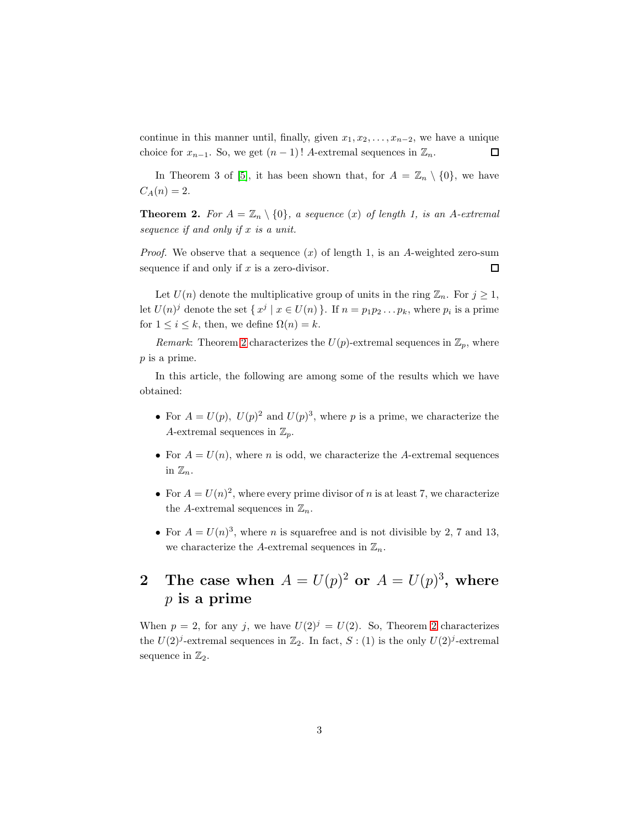continue in this manner until, finally, given  $x_1, x_2, \ldots, x_{n-2}$ , we have a unique choice for  $x_{n-1}$ . So, we get  $(n-1)!$  A-extremal sequences in  $\mathbb{Z}_n$ .  $\Box$ 

In Theorem 3 of [\[5\]](#page-17-1), it has been shown that, for  $A = \mathbb{Z}_n \setminus \{0\}$ , we have  $C_A(n) = 2.$ 

<span id="page-2-0"></span>**Theorem 2.** For  $A = \mathbb{Z}_n \setminus \{0\}$ , a sequence (x) of length 1, is an A-extremal sequence if and only if  $x$  is a unit.

*Proof.* We observe that a sequence  $(x)$  of length 1, is an A-weighted zero-sum sequence if and only if  $x$  is a zero-divisor.  $\Box$ 

Let  $U(n)$  denote the multiplicative group of units in the ring  $\mathbb{Z}_n$ . For  $j \geq 1$ , let  $U(n)^j$  denote the set  $\{x^j \mid x \in U(n)\}\$ . If  $n = p_1p_2 \ldots p_k$ , where  $p_i$  is a prime for  $1 \leq i \leq k$ , then, we define  $\Omega(n) = k$ .

Remark: Theorem [2](#page-2-0) characterizes the  $U(p)$ -extremal sequences in  $\mathbb{Z}_p$ , where p is a prime.

In this article, the following are among some of the results which we have obtained:

- For  $A = U(p)$ ,  $U(p)^2$  and  $U(p)^3$ , where p is a prime, we characterize the A-extremal sequences in  $\mathbb{Z}_p$ .
- For  $A = U(n)$ , where n is odd, we characterize the A-extremal sequences in  $\mathbb{Z}_n$ .
- For  $A = U(n)^2$ , where every prime divisor of n is at least 7, we characterize the A-extremal sequences in  $\mathbb{Z}_n$ .
- For  $A = U(n)^3$ , where *n* is squarefree and is not divisible by 2, 7 and 13, we characterize the A-extremal sequences in  $\mathbb{Z}_n$ .

## 2 The case when  $A = U(p)^2$  or  $A = U(p)^3$ , where  $p$  is a prime

When  $p = 2$  $p = 2$ , for any j, we have  $U(2)^{j} = U(2)$ . So, Theorem 2 characterizes the  $U(2)<sup>j</sup>$ -extremal sequences in  $\mathbb{Z}_2$ . In fact,  $S: (1)$  is the only  $U(2)<sup>j</sup>$ -extremal sequence in  $\mathbb{Z}_2$ .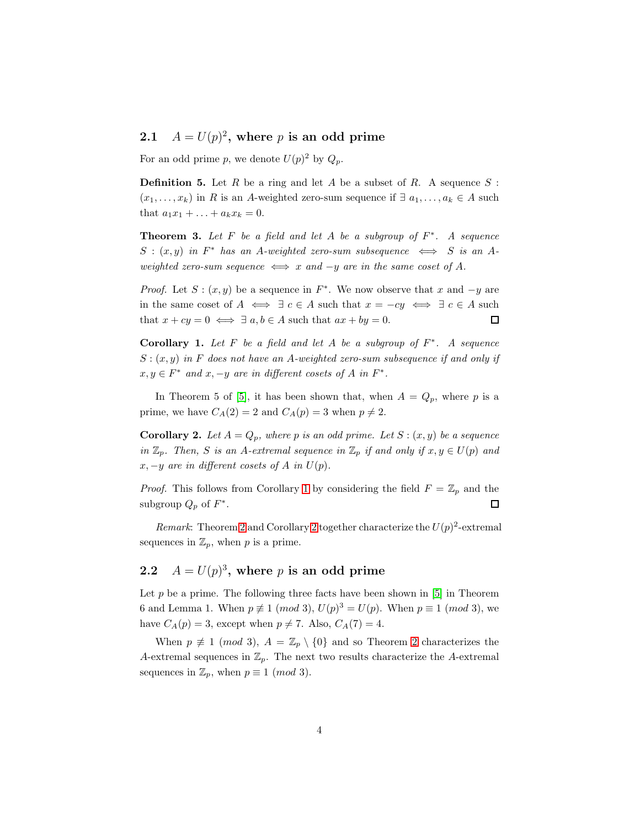### 2.1  $A = U(p)^2$ , where p is an odd prime

For an odd prime p, we denote  $U(p)^2$  by  $Q_p$ .

**Definition 5.** Let R be a ring and let A be a subset of R. A sequence  $S$ :  $(x_1, \ldots, x_k)$  in R is an A-weighted zero-sum sequence if  $\exists a_1, \ldots, a_k \in A$  such that  $a_1x_1 + ... + a_kx_k = 0$ .

**Theorem 3.** Let  $F$  be a field and let  $A$  be a subgroup of  $F^*$ . A sequence  $S:(x,y)$  in  $F^*$  has an A-weighted zero-sum subsequence  $\iff S$  is an Aweighted zero-sum sequence  $\iff x$  and  $-y$  are in the same coset of A.

*Proof.* Let  $S: (x, y)$  be a sequence in  $F^*$ . We now observe that x and  $-y$  are in the same coset of  $A \iff \exists c \in A$  such that  $x = -cy \iff \exists c \in A$  such that  $x + cy = 0 \iff \exists a, b \in A$  such that  $ax + by = 0$ .  $\Box$ 

<span id="page-3-0"></span>Corollary 1. Let  $F$  be a field and let  $A$  be a subgroup of  $F^*$ . A sequence  $S: (x, y)$  in F does not have an A-weighted zero-sum subsequence if and only if  $x, y \in F^*$  and  $x, -y$  are in different cosets of A in  $F^*$ .

In Theorem 5 of [\[5\]](#page-17-1), it has been shown that, when  $A = Q_p$ , where p is a prime, we have  $C_A(2) = 2$  and  $C_A(p) = 3$  when  $p \neq 2$ .

<span id="page-3-1"></span>**Corollary 2.** Let  $A = Q_p$ , where p is an odd prime. Let  $S: (x, y)$  be a sequence in  $\mathbb{Z}_p$ . Then, S is an A-extremal sequence in  $\mathbb{Z}_p$  if and only if  $x, y \in U(p)$  and  $x, -y$  are in different cosets of A in  $U(p)$ .

*Proof.* This follows from Corollary [1](#page-3-0) by considering the field  $F = \mathbb{Z}_p$  and the subgroup  $Q_p$  of  $F^*$ .  $\Box$ 

Remark: Theorem [2](#page-3-1) and Corollary 2 together characterize the  $U(p)^2$ -extremal sequences in  $\mathbb{Z}_p$ , when p is a prime.

### 2.2  $A = U(p)^3$ , where p is an odd prime

Let  $p$  be a prime. The following three facts have been shown in [\[5\]](#page-17-1) in Theorem 6 and Lemma 1. When  $p \not\equiv 1 \pmod{3}$ ,  $U(p)^3 = U(p)$ . When  $p \equiv 1 \pmod{3}$ , we have  $C_A(p) = 3$ , except when  $p \neq 7$ . Also,  $C_A(7) = 4$ .

When  $p \not\equiv 1 \pmod{3}$ ,  $A = \mathbb{Z}_p \setminus \{0\}$  and so Theorem [2](#page-2-0) characterizes the A-extremal sequences in  $\mathbb{Z}_p$ . The next two results characterize the A-extremal sequences in  $\mathbb{Z}_p$ , when  $p \equiv 1 \pmod{3}$ .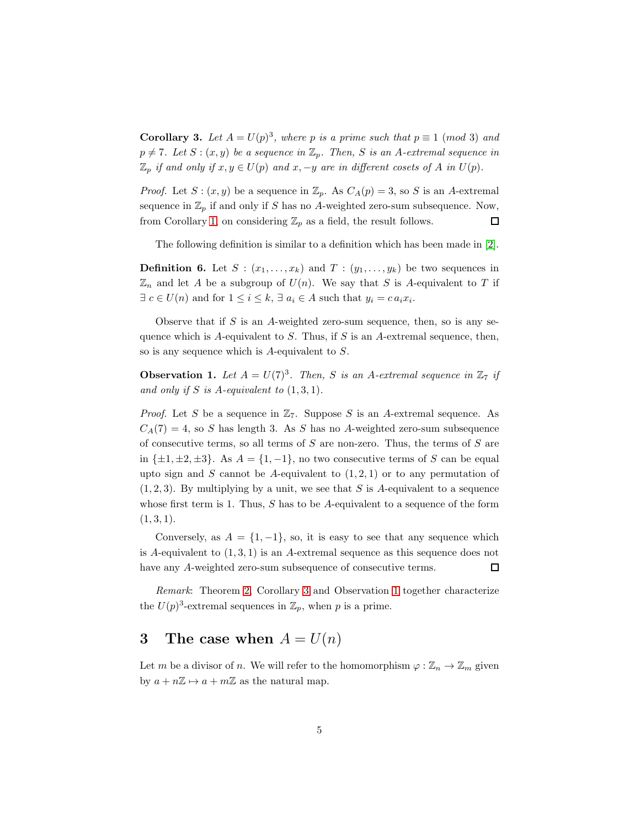<span id="page-4-0"></span>**Corollary 3.** Let  $A = U(p)^3$ , where p is a prime such that  $p \equiv 1 \pmod{3}$  and  $p \neq 7$ . Let  $S : (x, y)$  be a sequence in  $\mathbb{Z}_p$ . Then, S is an A-extremal sequence in  $\mathbb{Z}_p$  if and only if  $x, y \in U(p)$  and  $x, -y$  are in different cosets of A in  $U(p)$ .

*Proof.* Let  $S: (x, y)$  be a sequence in  $\mathbb{Z}_p$ . As  $C_A(p) = 3$ , so S is an A-extremal sequence in  $\mathbb{Z}_p$  if and only if S has no A-weighted zero-sum subsequence. Now, from Corollary [1,](#page-3-0) on considering  $\mathbb{Z}_p$  as a field, the result follows.  $\square$ 

The following definition is similar to a definition which has been made in [\[2\]](#page-17-2).

<span id="page-4-2"></span>**Definition 6.** Let  $S : (x_1, \ldots, x_k)$  and  $T : (y_1, \ldots, y_k)$  be two sequences in  $\mathbb{Z}_n$  and let A be a subgroup of  $U(n)$ . We say that S is A-equivalent to T if  $\exists c \in U(n)$  and for  $1 \leq i \leq k$ ,  $\exists a_i \in A$  such that  $y_i = c a_i x_i$ .

Observe that if  $S$  is an  $A$ -weighted zero-sum sequence, then, so is any sequence which is A-equivalent to S. Thus, if S is an A-extremal sequence, then, so is any sequence which is A-equivalent to S.

<span id="page-4-1"></span>**Observation 1.** Let  $A = U(7)^3$ . Then, S is an A-extremal sequence in  $\mathbb{Z}_7$  if and only if S is A-equivalent to  $(1, 3, 1)$ .

*Proof.* Let S be a sequence in  $\mathbb{Z}_7$ . Suppose S is an A-extremal sequence. As  $C_A(7) = 4$ , so S has length 3. As S has no A-weighted zero-sum subsequence of consecutive terms, so all terms of  $S$  are non-zero. Thus, the terms of  $S$  are in  $\{\pm 1, \pm 2, \pm 3\}$ . As  $A = \{1, -1\}$ , no two consecutive terms of S can be equal upto sign and S cannot be A-equivalent to  $(1, 2, 1)$  or to any permutation of  $(1, 2, 3)$ . By multiplying by a unit, we see that S is A-equivalent to a sequence whose first term is 1. Thus,  $S$  has to be  $A$ -equivalent to a sequence of the form  $(1, 3, 1).$ 

Conversely, as  $A = \{1, -1\}$ , so, it is easy to see that any sequence which is A-equivalent to  $(1,3,1)$  is an A-extremal sequence as this sequence does not have any A-weighted zero-sum subsequence of consecutive terms.  $\Box$ 

Remark: Theorem [2,](#page-2-0) Corollary [3](#page-4-0) and Observation [1](#page-4-1) together characterize the  $U(p)^3$ -extremal sequences in  $\mathbb{Z}_p$ , when p is a prime.

#### 3 The case when  $A = U(n)$

Let m be a divisor of n. We will refer to the homomorphism  $\varphi : \mathbb{Z}_n \to \mathbb{Z}_m$  given by  $a + n\mathbb{Z} \mapsto a + m\mathbb{Z}$  as the natural map.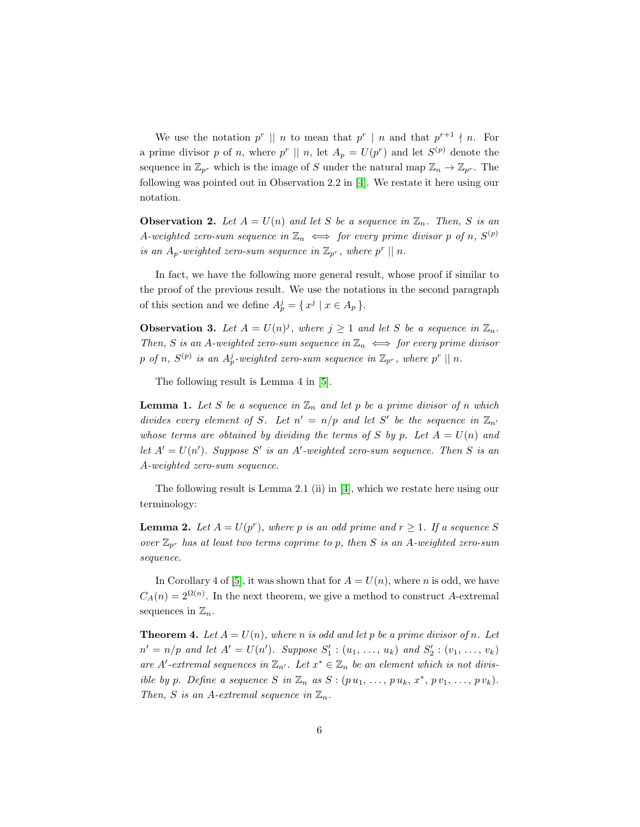We use the notation  $p^r \parallel n$  to mean that  $p^r \parallel n$  and that  $p^{r+1} \nmid n$ . For a prime divisor p of n, where  $p^r \parallel n$ , let  $A_p = U(p^r)$  and let  $S^{(p)}$  denote the sequence in  $\mathbb{Z}_{p^r}$  which is the image of S under the natural map  $\mathbb{Z}_n \to \mathbb{Z}_{p^r}$ . The following was pointed out in Observation 2.2 in [\[4\]](#page-17-3). We restate it here using our notation.

<span id="page-5-3"></span>**Observation 2.** Let  $A = U(n)$  and let S be a sequence in  $\mathbb{Z}_n$ . Then, S is an A-weighted zero-sum sequence in  $\mathbb{Z}_n \iff$  for every prime divisor p of n,  $S^{(p)}$ is an  $A_p$ -weighted zero-sum sequence in  $\mathbb{Z}_{p^r}$ , where  $p^r \parallel n$ .

In fact, we have the following more general result, whose proof if similar to the proof of the previous result. We use the notations in the second paragraph of this section and we define  $A_p^j = \{ x^j \mid x \in A_p \}.$ 

<span id="page-5-4"></span>**Observation 3.** Let  $A = U(n)^j$ , where  $j \ge 1$  and let S be a sequence in  $\mathbb{Z}_n$ . Then, S is an A-weighted zero-sum sequence in  $\mathbb{Z}_n \iff$  for every prime divisor  $p$  of n,  $S^{(p)}$  is an  $A_p^j$ -weighted zero-sum sequence in  $\mathbb{Z}_{p^r},$  where  $p^r\mid\mid n.$ 

The following result is Lemma 4 in [\[5\]](#page-17-1).

<span id="page-5-1"></span>**Lemma 1.** Let S be a sequence in  $\mathbb{Z}_n$  and let p be a prime divisor of n which divides every element of S. Let  $n' = n/p$  and let S' be the sequence in  $\mathbb{Z}_{n'}$ whose terms are obtained by dividing the terms of S by p. Let  $A = U(n)$  and let  $A' = U(n')$ . Suppose S' is an A'-weighted zero-sum sequence. Then S is an A-weighted zero-sum sequence.

The following result is Lemma 2.1 (ii) in [\[4\]](#page-17-3), which we restate here using our terminology:

<span id="page-5-2"></span>**Lemma 2.** Let  $A = U(p^r)$ , where p is an odd prime and  $r \geq 1$ . If a sequence S over  $\mathbb{Z}_{p^r}$  has at least two terms coprime to p, then S is an A-weighted zero-sum sequence.

In Corollary 4 of [\[5\]](#page-17-1), it was shown that for  $A = U(n)$ , where n is odd, we have  $C_A(n) = 2^{\Omega(n)}$ . In the next theorem, we give a method to construct A-extremal sequences in  $\mathbb{Z}_n$ .

<span id="page-5-0"></span>**Theorem 4.** Let  $A = U(n)$ , where n is odd and let p be a prime divisor of n. Let  $n' = n/p$  and let  $A' = U(n')$ . Suppose  $S'_1$  :  $(u_1, ..., u_k)$  and  $S'_2$  :  $(v_1, ..., v_k)$ are A'-extremal sequences in  $\mathbb{Z}_{n'}$ . Let  $x^* \in \mathbb{Z}_n$  be an element which is not divisible by p. Define a sequence S in  $\mathbb{Z}_n$  as  $S : (p u_1, \ldots, p u_k, x^*, p v_1, \ldots, p v_k)$ . Then, S is an A-extremal sequence in  $\mathbb{Z}_n$ .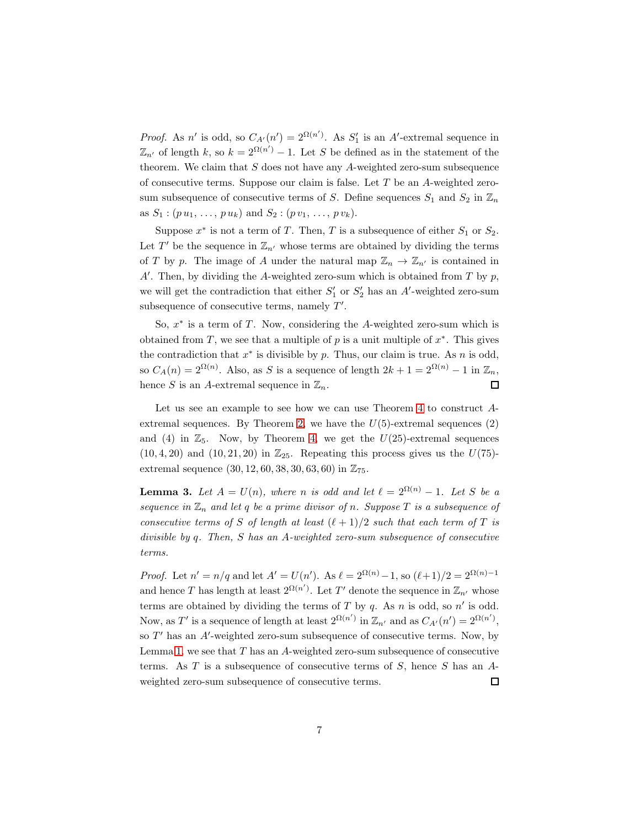*Proof.* As n' is odd, so  $C_{A'}(n') = 2^{\Omega(n')}$ . As  $S'_1$  is an A'-extremal sequence in  $\mathbb{Z}_{n'}$  of length k, so  $k = 2^{\Omega(n')} - 1$ . Let S be defined as in the statement of the theorem. We claim that  $S$  does not have any  $A$ -weighted zero-sum subsequence of consecutive terms. Suppose our claim is false. Let  $T$  be an  $A$ -weighted zerosum subsequence of consecutive terms of S. Define sequences  $S_1$  and  $S_2$  in  $\mathbb{Z}_n$ as  $S_1$ :  $(p u_1, \ldots, p u_k)$  and  $S_2$ :  $(p v_1, \ldots, p v_k)$ .

Suppose  $x^*$  is not a term of T. Then, T is a subsequence of either  $S_1$  or  $S_2$ . Let T' be the sequence in  $\mathbb{Z}_{n'}$  whose terms are obtained by dividing the terms of T by p. The image of A under the natural map  $\mathbb{Z}_n \to \mathbb{Z}_{n'}$  is contained in  $A'$ . Then, by dividing the A-weighted zero-sum which is obtained from T by p, we will get the contradiction that either  $S'_1$  or  $S'_2$  has an A'-weighted zero-sum subsequence of consecutive terms, namely  $T'$ .

So,  $x^*$  is a term of T. Now, considering the A-weighted zero-sum which is obtained from T, we see that a multiple of  $p$  is a unit multiple of  $x^*$ . This gives the contradiction that  $x^*$  is divisible by p. Thus, our claim is true. As n is odd, so  $C_A(n) = 2^{\Omega(n)}$ . Also, as S is a sequence of length  $2k + 1 = 2^{\Omega(n)} - 1$  in  $\mathbb{Z}_n$ , hence S is an A-extremal sequence in  $\mathbb{Z}_n$ .  $\Box$ 

Let us see an example to see how we can use Theorem [4](#page-5-0) to construct A-extremal sequences. By Theorem [2,](#page-2-0) we have the  $U(5)$ -extremal sequences  $(2)$ and (4) in  $\mathbb{Z}_5$ . Now, by Theorem [4,](#page-5-0) we get the  $U(25)$ -extremal sequences  $(10, 4, 20)$  and  $(10, 21, 20)$  in  $\mathbb{Z}_{25}$ . Repeating this process gives us the  $U(75)$ extremal sequence  $(30, 12, 60, 38, 30, 63, 60)$  in  $\mathbb{Z}_{75}$ .

<span id="page-6-0"></span>**Lemma 3.** Let  $A = U(n)$ , where n is odd and let  $\ell = 2^{\Omega(n)} - 1$ . Let S be a sequence in  $\mathbb{Z}_n$  and let q be a prime divisor of n. Suppose T is a subsequence of consecutive terms of S of length at least  $(\ell + 1)/2$  such that each term of T is divisible by q. Then, S has an A-weighted zero-sum subsequence of consecutive terms.

*Proof.* Let  $n' = n/q$  and let  $A' = U(n')$ . As  $\ell = 2^{\Omega(n)} - 1$ , so  $(\ell+1)/2 = 2^{\Omega(n)-1}$ and hence T has length at least  $2^{\Omega(n')}$ . Let T' denote the sequence in  $\mathbb{Z}_{n'}$  whose terms are obtained by dividing the terms of  $T$  by  $q$ . As  $n$  is odd, so  $n'$  is odd. Now, as T' is a sequence of length at least  $2^{\Omega(n')}$  in  $\mathbb{Z}_{n'}$  and as  $C_{A'}(n') = 2^{\Omega(n')}$ , so  $T'$  has an  $A'$ -weighted zero-sum subsequence of consecutive terms. Now, by Lemma [1,](#page-5-1) we see that  $T$  has an  $A$ -weighted zero-sum subsequence of consecutive terms. As  $T$  is a subsequence of consecutive terms of  $S$ , hence  $S$  has an  $A$ weighted zero-sum subsequence of consecutive terms.  $\Box$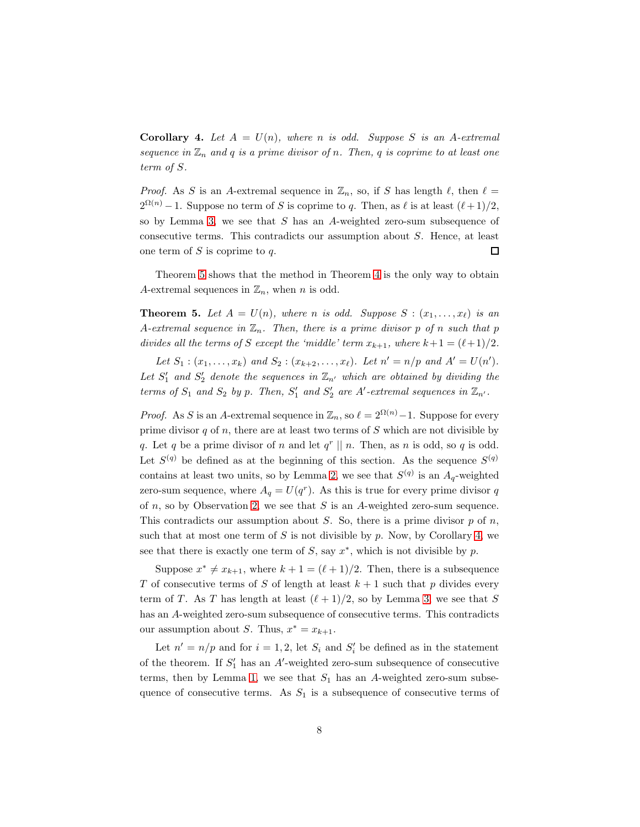<span id="page-7-1"></span>**Corollary 4.** Let  $A = U(n)$ , where n is odd. Suppose S is an A-extremal sequence in  $\mathbb{Z}_n$  and q is a prime divisor of n. Then, q is coprime to at least one term of S.

*Proof.* As S is an A-extremal sequence in  $\mathbb{Z}_n$ , so, if S has length  $\ell$ , then  $\ell =$  $2^{\Omega(n)}-1$ . Suppose no term of S is coprime to q. Then, as  $\ell$  is at least  $(\ell+1)/2$ , so by Lemma [3,](#page-6-0) we see that  $S$  has an A-weighted zero-sum subsequence of consecutive terms. This contradicts our assumption about S. Hence, at least one term of  $S$  is coprime to  $q$ . 口

Theorem [5](#page-7-0) shows that the method in Theorem [4](#page-5-0) is the only way to obtain A-extremal sequences in  $\mathbb{Z}_n$ , when *n* is odd.

<span id="page-7-0"></span>**Theorem 5.** Let  $A = U(n)$ , where n is odd. Suppose  $S : (x_1, \ldots, x_\ell)$  is an A-extremal sequence in  $\mathbb{Z}_n$ . Then, there is a prime divisor p of n such that p divides all the terms of S except the 'middle' term  $x_{k+1}$ , where  $k+1 = (\ell+1)/2$ .

Let  $S_1$ :  $(x_1,...,x_k)$  and  $S_2$ :  $(x_{k+2},...,x_{\ell})$ . Let  $n' = n/p$  and  $A' = U(n')$ . Let  $S'_1$  and  $S'_2$  denote the sequences in  $\mathbb{Z}_{n'}$  which are obtained by dividing the terms of  $S_1$  and  $S_2$  by p. Then,  $S'_1$  and  $S'_2$  are A'-extremal sequences in  $\mathbb{Z}_{n'}$ .

*Proof.* As S is an A-extremal sequence in  $\mathbb{Z}_n$ , so  $\ell = 2^{\Omega(n)} - 1$ . Suppose for every prime divisor  $q$  of  $n$ , there are at least two terms of  $S$  which are not divisible by q. Let q be a prime divisor of n and let  $q^r \parallel n$ . Then, as n is odd, so q is odd. Let  $S^{(q)}$  be defined as at the beginning of this section. As the sequence  $S^{(q)}$ contains at least two units, so by Lemma [2,](#page-5-2) we see that  $S^{(q)}$  is an  $A_q$ -weighted zero-sum sequence, where  $A_q = U(q^r)$ . As this is true for every prime divisor q of  $n$ , so by Observation [2,](#page-5-3) we see that  $S$  is an A-weighted zero-sum sequence. This contradicts our assumption about S. So, there is a prime divisor  $p$  of  $n$ , such that at most one term of  $S$  is not divisible by  $p$ . Now, by Corollary [4,](#page-7-1) we see that there is exactly one term of  $S$ , say  $x^*$ , which is not divisible by  $p$ .

Suppose  $x^* \neq x_{k+1}$ , where  $k + 1 = (\ell + 1)/2$ . Then, there is a subsequence T of consecutive terms of S of length at least  $k + 1$  such that p divides every term of T. As T has length at least  $(\ell + 1)/2$ , so by Lemma [3,](#page-6-0) we see that S has an A-weighted zero-sum subsequence of consecutive terms. This contradicts our assumption about S. Thus,  $x^* = x_{k+1}$ .

Let  $n' = n/p$  and for  $i = 1, 2$ , let  $S_i$  and  $S'_i$  be defined as in the statement of the theorem. If  $S'_1$  has an A'-weighted zero-sum subsequence of consecutive terms, then by Lemma [1,](#page-5-1) we see that  $S_1$  has an A-weighted zero-sum subsequence of consecutive terms. As  $S_1$  is a subsequence of consecutive terms of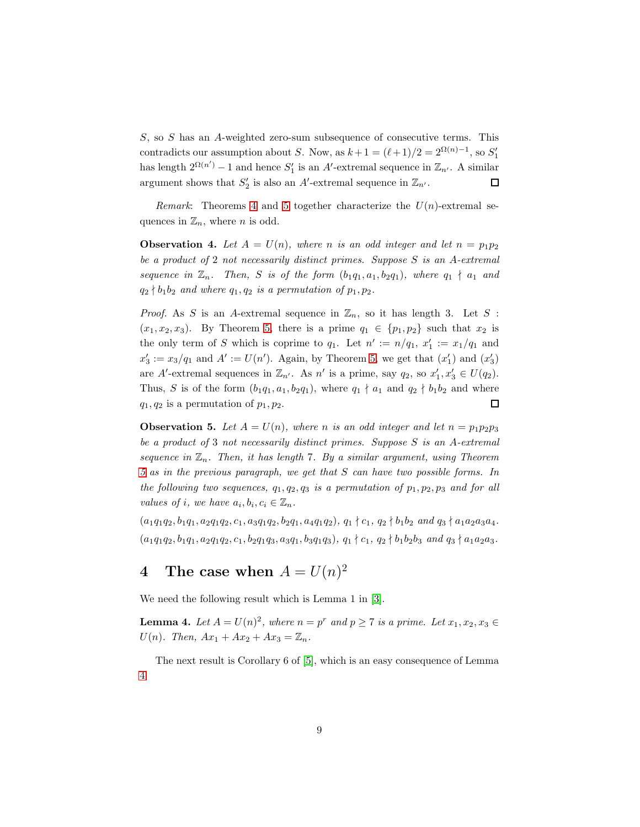S, so S has an A-weighted zero-sum subsequence of consecutive terms. This contradicts our assumption about S. Now, as  $k + 1 = (\ell + 1)/2 = 2^{\Omega(n)-1}$ , so  $S'_1$ has length  $2^{\Omega(n')} - 1$  and hence  $S'_1$  is an A'-extremal sequence in  $\mathbb{Z}_{n'}$ . A similar argument shows that  $S'_2$  is also an A'-extremal sequence in  $\mathbb{Z}_{n'}$ .  $\Box$ 

*Remark*: Theorems [4](#page-5-0) and [5](#page-7-0) together characterize the  $U(n)$ -extremal sequences in  $\mathbb{Z}_n$ , where *n* is odd.

**Observation 4.** Let  $A = U(n)$ , where n is an odd integer and let  $n = p_1p_2$ be a product of 2 not necessarily distinct primes. Suppose  $S$  is an A-extremal sequence in  $\mathbb{Z}_n$ . Then, S is of the form  $(b_1q_1, a_1, b_2q_1)$ , where  $q_1 \nmid a_1$  and  $q_2 \nmid b_1b_2$  and where  $q_1, q_2$  is a permutation of  $p_1, p_2$ .

*Proof.* As S is an A-extremal sequence in  $\mathbb{Z}_n$ , so it has length 3. Let S :  $(x_1, x_2, x_3)$ . By Theorem [5,](#page-7-0) there is a prime  $q_1 \in \{p_1, p_2\}$  such that  $x_2$  is the only term of S which is coprime to  $q_1$ . Let  $n' := n/q_1$ ,  $x'_1 := x_1/q_1$  and  $x'_3 := x_3/q_1$  and  $A' := U(n')$ . Again, by Theorem [5,](#page-7-0) we get that  $(x'_1)$  and  $(x'_3)$ are A'-extremal sequences in  $\mathbb{Z}_{n'}$ . As n' is a prime, say  $q_2$ , so  $x'_1, x'_3 \in U(q_2)$ . Thus, S is of the form  $(b_1q_1, a_1, b_2q_1)$ , where  $q_1 \nmid a_1$  and  $q_2 \nmid b_1b_2$  and where  $\Box$  $q_1, q_2$  is a permutation of  $p_1, p_2$ .

**Observation 5.** Let  $A = U(n)$ , where n is an odd integer and let  $n = p_1p_2p_3$ be a product of 3 not necessarily distinct primes. Suppose S is an A-extremal sequence in  $\mathbb{Z}_n$ . Then, it has length 7. By a similar argument, using Theorem [5](#page-7-0) as in the previous paragraph, we get that S can have two possible forms. In the following two sequences,  $q_1, q_2, q_3$  is a permutation of  $p_1, p_2, p_3$  and for all values of i, we have  $a_i, b_i, c_i \in \mathbb{Z}_n$ .

 $(a_1q_1q_2, b_1q_1, a_2q_1q_2, c_1, a_3q_1q_2, b_2q_1, a_4q_1q_2), q_1 \nmid c_1, q_2 \nmid b_1b_2 \text{ and } q_3 \nmid a_1a_2a_3a_4.$  $(a_1q_1q_2, b_1q_1, a_2q_1q_2, c_1, b_2q_1q_3, a_3q_1, b_3q_1q_3), q_1 \nmid c_1, q_2 \nmid b_1b_2b_3 \text{ and } q_3 \nmid a_1a_2a_3.$ 

## 4 The case when  $A = U(n)^2$

We need the following result which is Lemma 1 in [\[3\]](#page-17-4).

<span id="page-8-0"></span>**Lemma 4.** Let  $A = U(n)^2$ , where  $n = p^r$  and  $p \ge 7$  is a prime. Let  $x_1, x_2, x_3 \in$ U(n). Then,  $Ax_1 + Ax_2 + Ax_3 = \mathbb{Z}_n$ .

The next result is Corollary 6 of [\[5\]](#page-17-1), which is an easy consequence of Lemma [4.](#page-8-0)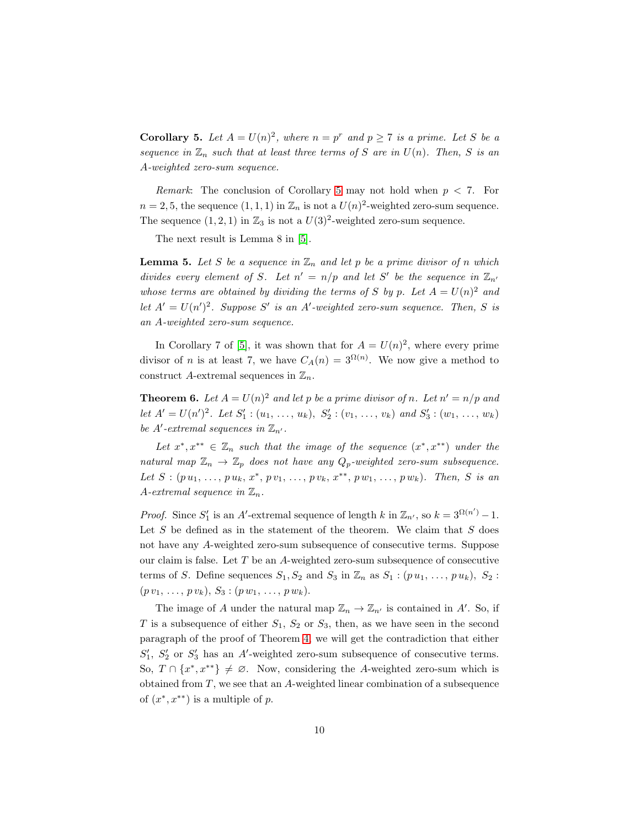<span id="page-9-0"></span>**Corollary 5.** Let  $A = U(n)^2$ , where  $n = p^r$  and  $p \ge 7$  is a prime. Let S be a sequence in  $\mathbb{Z}_n$  such that at least three terms of S are in  $U(n)$ . Then, S is an A-weighted zero-sum sequence.

*Remark*: The conclusion of Corollary [5](#page-9-0) may not hold when  $p < 7$ . For  $n = 2, 5$ , the sequence  $(1, 1, 1)$  in  $\mathbb{Z}_n$  is not a  $U(n)^2$ -weighted zero-sum sequence. The sequence  $(1, 2, 1)$  in  $\mathbb{Z}_3$  is not a  $U(3)^2$ -weighted zero-sum sequence.

The next result is Lemma 8 in [\[5\]](#page-17-1).

<span id="page-9-2"></span>**Lemma 5.** Let S be a sequence in  $\mathbb{Z}_n$  and let p be a prime divisor of n which divides every element of S. Let  $n' = n/p$  and let S' be the sequence in  $\mathbb{Z}_{n'}$ whose terms are obtained by dividing the terms of S by p. Let  $A = U(n)^2$  and let  $A' = U(n')^2$ . Suppose S' is an A'-weighted zero-sum sequence. Then, S is an A-weighted zero-sum sequence.

In Corollary 7 of [\[5\]](#page-17-1), it was shown that for  $A = U(n)^2$ , where every prime divisor of *n* is at least 7, we have  $C_A(n) = 3^{\Omega(n)}$ . We now give a method to construct A-extremal sequences in  $\mathbb{Z}_n$ .

<span id="page-9-1"></span>**Theorem 6.** Let  $A = U(n)^2$  and let p be a prime divisor of n. Let  $n' = n/p$  and let  $A' = U(n')^2$ . Let  $S'_1 : (u_1, \ldots, u_k)$ ,  $S'_2 : (v_1, \ldots, v_k)$  and  $S'_3 : (w_1, \ldots, w_k)$ be A'-extremal sequences in  $\mathbb{Z}_{n'}$ .

Let  $x^*, x^{**} \in \mathbb{Z}_n$  such that the image of the sequence  $(x^*, x^{**})$  under the natural map  $\mathbb{Z}_n \to \mathbb{Z}_p$  does not have any  $Q_p$ -weighted zero-sum subsequence. Let  $S: (p u_1, \ldots, p u_k, x^*, p v_1, \ldots, p v_k, x^{**}, p w_1, \ldots, p w_k)$ . Then, S is an A-extremal sequence in  $\mathbb{Z}_n$ .

*Proof.* Since  $S'_1$  is an A'-extremal sequence of length k in  $\mathbb{Z}_{n'}$ , so  $k = 3^{\Omega(n')} - 1$ . Let  $S$  be defined as in the statement of the theorem. We claim that  $S$  does not have any A-weighted zero-sum subsequence of consecutive terms. Suppose our claim is false. Let T be an A-weighted zero-sum subsequence of consecutive terms of S. Define sequences  $S_1, S_2$  and  $S_3$  in  $\mathbb{Z}_n$  as  $S_1 : (p u_1, \ldots, p u_k), S_2 :$  $(p v_1, \ldots, p v_k), S_3 : (p w_1, \ldots, p w_k).$ 

The image of A under the natural map  $\mathbb{Z}_n \to \mathbb{Z}_{n'}$  is contained in A'. So, if T is a subsequence of either  $S_1$ ,  $S_2$  or  $S_3$ , then, as we have seen in the second paragraph of the proof of Theorem [4,](#page-5-0) we will get the contradiction that either  $S'_1$ ,  $S'_2$  or  $S'_3$  has an A'-weighted zero-sum subsequence of consecutive terms. So,  $T \cap \{x^*, x^{**}\} \neq \emptyset$ . Now, considering the A-weighted zero-sum which is obtained from  $T$ , we see that an A-weighted linear combination of a subsequence of  $(x^*, x^{**})$  is a multiple of p.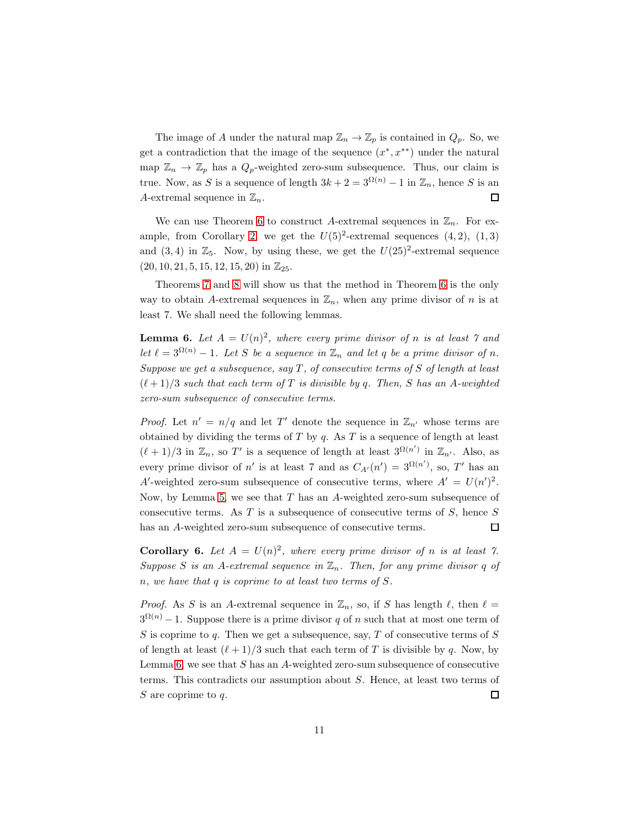The image of A under the natural map  $\mathbb{Z}_n \to \mathbb{Z}_p$  is contained in  $Q_p$ . So, we get a contradiction that the image of the sequence  $(x^*, x^{**})$  under the natural map  $\mathbb{Z}_n \to \mathbb{Z}_p$  has a  $Q_p$ -weighted zero-sum subsequence. Thus, our claim is true. Now, as S is a sequence of length  $3k + 2 = 3^{\Omega(n)} - 1$  in  $\mathbb{Z}_n$ , hence S is an A-extremal sequence in  $\mathbb{Z}_n$ .  $\Box$ 

We can use Theorem [6](#page-9-1) to construct A-extremal sequences in  $\mathbb{Z}_n$ . For ex-ample, from Corollary [2,](#page-3-1) we get the  $U(5)^2$ -extremal sequences  $(4, 2)$ ,  $(1, 3)$ and  $(3, 4)$  in  $\mathbb{Z}_5$ . Now, by using these, we get the  $U(25)^2$ -extremal sequence  $(20, 10, 21, 5, 15, 12, 15, 20)$  in  $\mathbb{Z}_{25}$ .

Theorems [7](#page-11-0) and [8](#page-12-0) will show us that the method in Theorem [6](#page-9-1) is the only way to obtain A-extremal sequences in  $\mathbb{Z}_n$ , when any prime divisor of n is at least 7. We shall need the following lemmas.

<span id="page-10-0"></span>**Lemma 6.** Let  $A = U(n)^2$ , where every prime divisor of n is at least 7 and let  $\ell = 3^{\Omega(n)} - 1$ . Let S be a sequence in  $\mathbb{Z}_n$  and let q be a prime divisor of n. Suppose we get a subsequence, say  $T$ , of consecutive terms of  $S$  of length at least  $(\ell+1)/3$  such that each term of T is divisible by q. Then, S has an A-weighted zero-sum subsequence of consecutive terms.

*Proof.* Let  $n' = n/q$  and let T' denote the sequence in  $\mathbb{Z}_{n'}$  whose terms are obtained by dividing the terms of  $T$  by  $q$ . As  $T$  is a sequence of length at least  $(\ell+1)/3$  in  $\mathbb{Z}_n$ , so T' is a sequence of length at least  $3^{\Omega(n')}$  in  $\mathbb{Z}_{n'}$ . Also, as every prime divisor of n' is at least 7 and as  $C_{A'}(n') = 3^{\Omega(n')}$ , so, T' has an A'-weighted zero-sum subsequence of consecutive terms, where  $A' = U(n')^2$ . Now, by Lemma [5,](#page-9-2) we see that  $T$  has an  $A$ -weighted zero-sum subsequence of consecutive terms. As  $T$  is a subsequence of consecutive terms of  $S$ , hence  $S$ has an A-weighted zero-sum subsequence of consecutive terms.  $\Box$ 

<span id="page-10-1"></span>**Corollary 6.** Let  $A = U(n)^2$ , where every prime divisor of n is at least 7. Suppose S is an A-extremal sequence in  $\mathbb{Z}_n$ . Then, for any prime divisor q of n, we have that q is coprime to at least two terms of S.

*Proof.* As S is an A-extremal sequence in  $\mathbb{Z}_n$ , so, if S has length  $\ell$ , then  $\ell =$  $3^{\Omega(n)} - 1$ . Suppose there is a prime divisor q of n such that at most one term of S is coprime to q. Then we get a subsequence, say, T of consecutive terms of  $S$ of length at least  $(\ell+1)/3$  such that each term of T is divisible by q. Now, by Lemma  $6$ , we see that  $S$  has an  $A$ -weighted zero-sum subsequence of consecutive terms. This contradicts our assumption about S. Hence, at least two terms of  $S$  are coprime to  $q$ .  $\Box$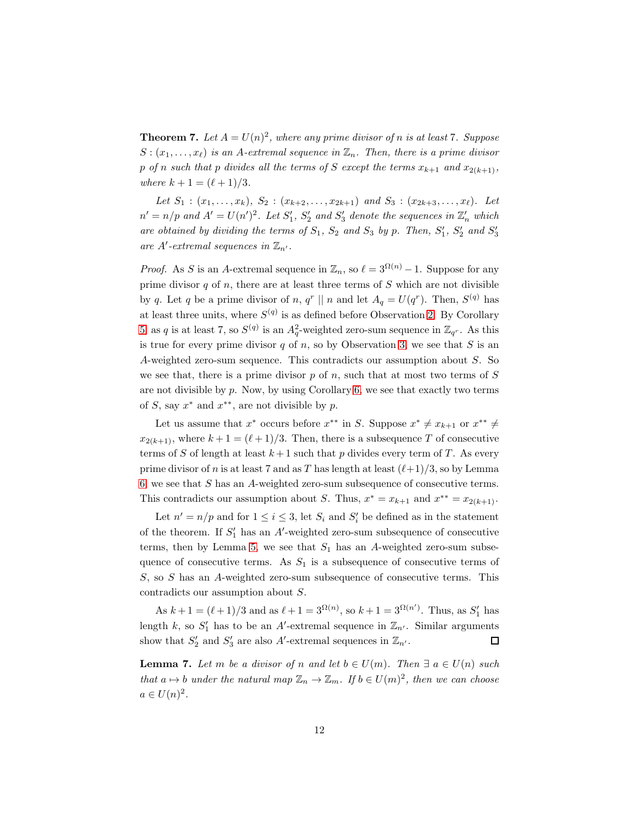<span id="page-11-0"></span>**Theorem 7.** Let  $A = U(n)^2$ , where any prime divisor of n is at least 7. Suppose  $S: (x_1, \ldots, x_\ell)$  is an A-extremal sequence in  $\mathbb{Z}_n$ . Then, there is a prime divisor p of n such that p divides all the terms of S except the terms  $x_{k+1}$  and  $x_{2(k+1)}$ , where  $k + 1 = (\ell + 1)/3$ .

Let  $S_1$  :  $(x_1, \ldots, x_k)$ ,  $S_2$  :  $(x_{k+2}, \ldots, x_{2k+1})$  and  $S_3$  :  $(x_{2k+3}, \ldots, x_{\ell})$ . Let  $n' = n/p$  and  $A' = U(n')^2$ . Let  $S'_1$ ,  $S'_2$  and  $S'_3$  denote the sequences in  $\mathbb{Z}'_n$  which are obtained by dividing the terms of  $S_1$ ,  $S_2$  and  $S_3$  by p. Then,  $S'_1$ ,  $S'_2$  and  $S'_3$ are  $A'$ -extremal sequences in  $\mathbb{Z}_{n'}$ .

*Proof.* As S is an A-extremal sequence in  $\mathbb{Z}_n$ , so  $\ell = 3^{\Omega(n)} - 1$ . Suppose for any prime divisor  $q$  of  $n$ , there are at least three terms of  $S$  which are not divisible by q. Let q be a prime divisor of n,  $q^r \parallel n$  and let  $A_q = U(q^r)$ . Then,  $S^{(q)}$  has at least three units, where  $S^{(q)}$  is as defined before Observation [2.](#page-5-3) By Corollary [5,](#page-9-0) as q is at least 7, so  $S^{(q)}$  is an  $A_q^2$ -weighted zero-sum sequence in  $\mathbb{Z}_{q^r}$ . As this is true for every prime divisor  $q$  of  $n$ , so by Observation [3,](#page-5-4) we see that  $S$  is an A-weighted zero-sum sequence. This contradicts our assumption about S. So we see that, there is a prime divisor  $p$  of  $n$ , such that at most two terms of  $S$ are not divisible by  $p$ . Now, by using Corollary [6,](#page-10-1) we see that exactly two terms of S, say  $x^*$  and  $x^{**}$ , are not divisible by p.

Let us assume that  $x^*$  occurs before  $x^{**}$  in S. Suppose  $x^* \neq x_{k+1}$  or  $x^{**} \neq$  $x_{2(k+1)}$ , where  $k+1 = (\ell+1)/3$ . Then, there is a subsequence T of consecutive terms of S of length at least  $k+1$  such that p divides every term of T. As every prime divisor of n is at least 7 and as T has length at least  $(\ell+1)/3$ , so by Lemma [6,](#page-10-0) we see that S has an A-weighted zero-sum subsequence of consecutive terms. This contradicts our assumption about S. Thus,  $x^* = x_{k+1}$  and  $x^{**} = x_{2(k+1)}$ .

Let  $n' = n/p$  and for  $1 \leq i \leq 3$ , let  $S_i$  and  $S'_i$  be defined as in the statement of the theorem. If  $S'_1$  has an A'-weighted zero-sum subsequence of consecutive terms, then by Lemma [5,](#page-9-2) we see that  $S_1$  has an A-weighted zero-sum subsequence of consecutive terms. As  $S_1$  is a subsequence of consecutive terms of S, so S has an A-weighted zero-sum subsequence of consecutive terms. This contradicts our assumption about S.

As  $k + 1 = (\ell + 1)/3$  and as  $\ell + 1 = 3^{\Omega(n)}$ , so  $k + 1 = 3^{\Omega(n')}$ . Thus, as  $S'_1$  has length k, so  $S'_1$  has to be an A'-extremal sequence in  $\mathbb{Z}_{n'}$ . Similar arguments show that  $S'_2$  and  $S'_3$  are also A'-extremal sequences in  $\mathbb{Z}_{n'}$ . 口

<span id="page-11-1"></span>**Lemma 7.** Let m be a divisor of n and let  $b \in U(m)$ . Then  $\exists a \in U(n)$  such that  $a \mapsto b$  under the natural map  $\mathbb{Z}_n \to \mathbb{Z}_m$ . If  $b \in U(m)^2$ , then we can choose  $a \in U(n)^2$ .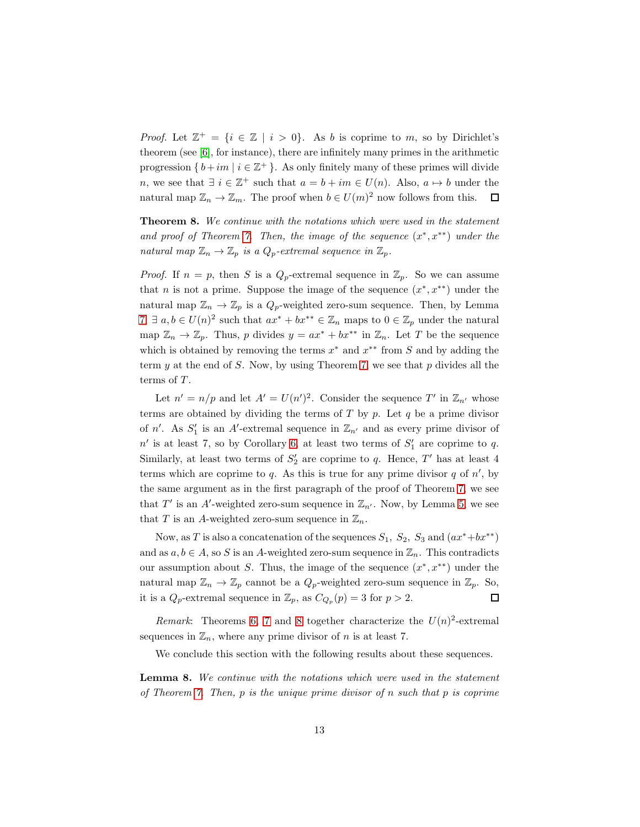*Proof.* Let  $\mathbb{Z}^+ = \{i \in \mathbb{Z} \mid i > 0\}$ . As b is coprime to m, so by Dirichlet's theorem (see [\[6\]](#page-17-5), for instance), there are infinitely many primes in the arithmetic progression  $\{b+im \mid i \in \mathbb{Z}^+\}$ . As only finitely many of these primes will divide n, we see that  $\exists i \in \mathbb{Z}^+$  such that  $a = b + im \in U(n)$ . Also,  $a \mapsto b$  under the natural map  $\mathbb{Z}_n \to \mathbb{Z}_m$ . The proof when  $b \in U(m)^2$  now follows from this.  $\Box$ 

<span id="page-12-0"></span>Theorem 8. We continue with the notations which were used in the statement and proof of Theorem [7.](#page-11-0) Then, the image of the sequence  $(x^*, x^{**})$  under the natural map  $\mathbb{Z}_n \to \mathbb{Z}_p$  is a  $Q_p$ -extremal sequence in  $\mathbb{Z}_p$ .

*Proof.* If  $n = p$ , then S is a  $Q_p$ -extremal sequence in  $\mathbb{Z}_p$ . So we can assume that *n* is not a prime. Suppose the image of the sequence  $(x^*, x^{**})$  under the natural map  $\mathbb{Z}_n \to \mathbb{Z}_p$  is a  $Q_p$ -weighted zero-sum sequence. Then, by Lemma [7,](#page-11-1)  $\exists a, b \in U(n)^2$  such that  $ax^* + bx^{**} \in \mathbb{Z}_n$  maps to  $0 \in \mathbb{Z}_p$  under the natural map  $\mathbb{Z}_n \to \mathbb{Z}_p$ . Thus, p divides  $y = ax^* + bx^{**}$  in  $\mathbb{Z}_n$ . Let T be the sequence which is obtained by removing the terms  $x^*$  and  $x^{**}$  from S and by adding the term  $y$  at the end of  $S$ . Now, by using Theorem [7,](#page-11-0) we see that  $p$  divides all the terms of  $T$ .

Let  $n' = n/p$  and let  $A' = U(n')^2$ . Consider the sequence T' in  $\mathbb{Z}_{n'}$  whose terms are obtained by dividing the terms of  $T$  by  $p$ . Let  $q$  be a prime divisor of n'. As  $S'_1$  is an A'-extremal sequence in  $\mathbb{Z}_{n'}$  and as every prime divisor of  $n'$  is at least 7, so by Corollary [6,](#page-10-1) at least two terms of  $S'_1$  are coprime to q. Similarly, at least two terms of  $S_2'$  are coprime to q. Hence,  $T'$  has at least 4 terms which are coprime to  $q$ . As this is true for any prime divisor  $q$  of  $n'$ , by the same argument as in the first paragraph of the proof of Theorem [7,](#page-11-0) we see that  $T'$  is an A'-weighted zero-sum sequence in  $\mathbb{Z}_{n'}$ . Now, by Lemma [5,](#page-9-2) we see that T is an A-weighted zero-sum sequence in  $\mathbb{Z}_n$ .

Now, as T is also a concatenation of the sequences  $S_1$ ,  $S_2$ ,  $S_3$  and  $(ax^*+bx^{**})$ and as  $a, b \in A$ , so S is an A-weighted zero-sum sequence in  $\mathbb{Z}_n$ . This contradicts our assumption about S. Thus, the image of the sequence  $(x^*, x^{**})$  under the natural map  $\mathbb{Z}_n \to \mathbb{Z}_p$  cannot be a  $Q_p$ -weighted zero-sum sequence in  $\mathbb{Z}_p$ . So, □ it is a  $Q_p$ -extremal sequence in  $\mathbb{Z}_p$ , as  $C_{Q_p}(p) = 3$  for  $p > 2$ .

Remark: Theorems [6,](#page-9-1) [7](#page-11-0) and [8](#page-12-0) together characterize the  $U(n)^2$ -extremal sequences in  $\mathbb{Z}_n$ , where any prime divisor of n is at least 7.

We conclude this section with the following results about these sequences.

Lemma 8. We continue with the notations which were used in the statement of Theorem [7.](#page-11-0) Then,  $p$  is the unique prime divisor of  $n$  such that  $p$  is coprime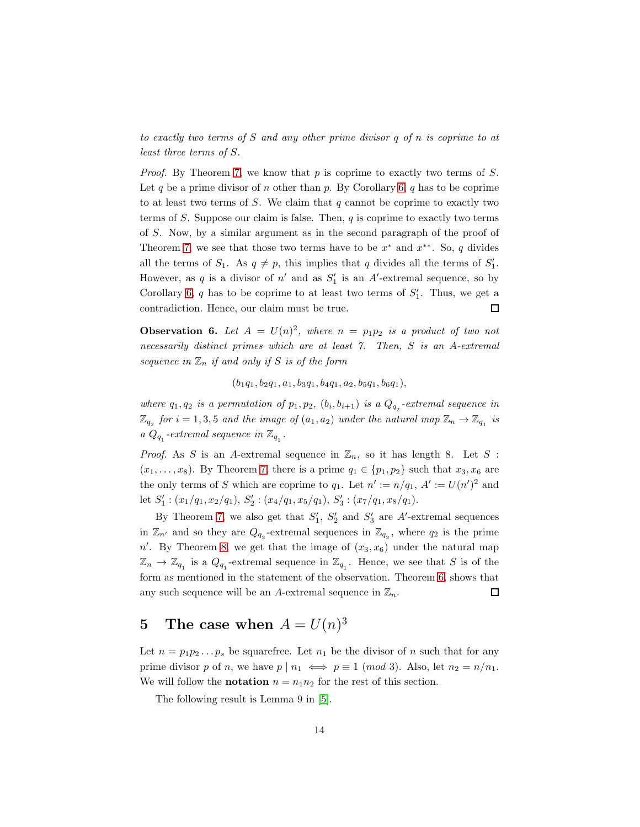to exactly two terms of S and any other prime divisor q of n is coprime to at least three terms of S.

*Proof.* By Theorem [7,](#page-11-0) we know that  $p$  is coprime to exactly two terms of  $S$ . Let q be a prime divisor of n other than p. By Corollary [6,](#page-10-1) q has to be coprime to at least two terms of  $S$ . We claim that  $q$  cannot be coprime to exactly two terms of  $S$ . Suppose our claim is false. Then,  $q$  is coprime to exactly two terms of S. Now, by a similar argument as in the second paragraph of the proof of Theorem [7,](#page-11-0) we see that those two terms have to be  $x^*$  and  $x^{**}$ . So, q divides all the terms of  $S_1$ . As  $q \neq p$ , this implies that q divides all the terms of  $S'_1$ . However, as q is a divisor of  $n'$  and as  $S'_1$  is an A'-extremal sequence, so by Corollary [6,](#page-10-1)  $q$  has to be coprime to at least two terms of  $S'_1$ . Thus, we get a contradiction. Hence, our claim must be true.  $\Box$ 

**Observation 6.** Let  $A = U(n)^2$ , where  $n = p_1p_2$  is a product of two not necessarily distinct primes which are at least 7. Then, S is an A-extremal sequence in  $\mathbb{Z}_n$  if and only if S is of the form

 $(b_1q_1, b_2q_1, a_1, b_3q_1, b_4q_1, a_2, b_5q_1, b_6q_1),$ 

where  $q_1, q_2$  is a permutation of  $p_1, p_2, (b_i, b_{i+1})$  is a  $Q_{q_2}$ -extremal sequence in  $\mathbb{Z}_{q_2}$  for  $i = 1, 3, 5$  and the image of  $(a_1, a_2)$  under the natural map  $\mathbb{Z}_n \to \mathbb{Z}_{q_1}$  is a  $Q_{q_1}$ -extremal sequence in  $\mathbb{Z}_{q_1}$ .

*Proof.* As S is an A-extremal sequence in  $\mathbb{Z}_n$ , so it has length 8. Let S :  $(x_1, \ldots, x_8)$ . By Theorem [7,](#page-11-0) there is a prime  $q_1 \in \{p_1, p_2\}$  such that  $x_3, x_6$  are the only terms of S which are coprime to  $q_1$ . Let  $n' := n/q_1$ ,  $A' := U(n')^2$  and let  $S'_1$ :  $(x_1/q_1, x_2/q_1), S'_2$ :  $(x_4/q_1, x_5/q_1), S'_3$ :  $(x_7/q_1, x_8/q_1)$ .

By Theorem [7,](#page-11-0) we also get that  $S'_1$ ,  $S'_2$  and  $S'_3$  are A'-extremal sequences in  $\mathbb{Z}_{n'}$  and so they are  $Q_{q_2}$ -extremal sequences in  $\mathbb{Z}_{q_2}$ , where  $q_2$  is the prime  $n'$ . By Theorem [8,](#page-12-0) we get that the image of  $(x_3, x_6)$  under the natural map  $\mathbb{Z}_n \to \mathbb{Z}_{q_1}$  is a  $Q_{q_1}$ -extremal sequence in  $\mathbb{Z}_{q_1}$ . Hence, we see that S is of the form as mentioned in the statement of the observation. Theorem [6,](#page-9-1) shows that any such sequence will be an A-extremal sequence in  $\mathbb{Z}_n$ .  $\Box$ 

## 5 The case when  $A = U(n)^3$

Let  $n = p_1p_2...p_s$  be squarefree. Let  $n_1$  be the divisor of n such that for any prime divisor p of n, we have  $p | n_1 \iff p \equiv 1 \pmod{3}$ . Also, let  $n_2 = n/n_1$ . We will follow the **notation**  $n = n_1 n_2$  for the rest of this section.

The following result is Lemma 9 in [\[5\]](#page-17-1).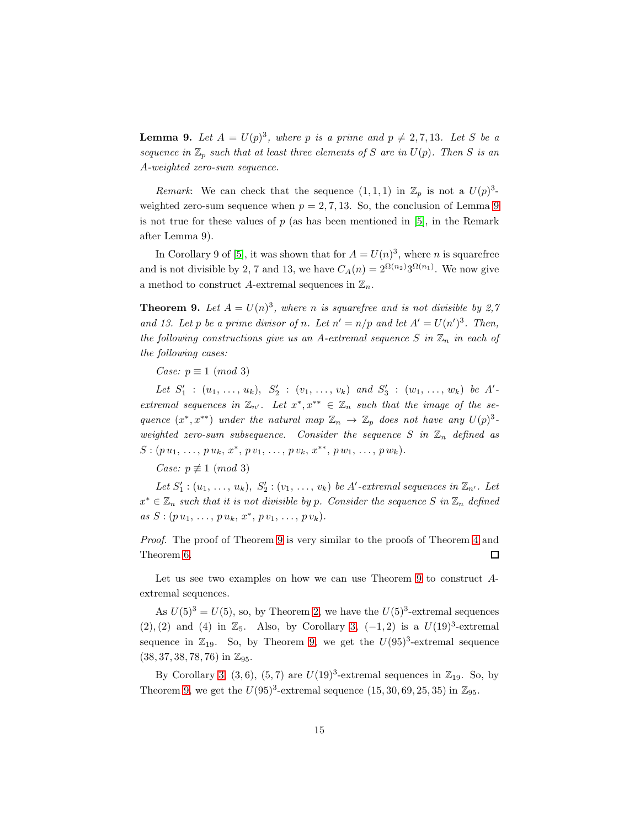<span id="page-14-0"></span>**Lemma 9.** Let  $A = U(p)^3$ , where p is a prime and  $p \neq 2, 7, 13$ . Let S be a sequence in  $\mathbb{Z}_p$  such that at least three elements of S are in  $U(p)$ . Then S is an A-weighted zero-sum sequence.

*Remark*: We can check that the sequence  $(1,1,1)$  in  $\mathbb{Z}_p$  is not a  $U(p)^3$ weighted zero-sum sequence when  $p = 2, 7, 13$ . So, the conclusion of Lemma [9](#page-14-0) is not true for these values of  $p$  (as has been mentioned in [\[5\]](#page-17-1), in the Remark after Lemma 9).

In Corollary 9 of [\[5\]](#page-17-1), it was shown that for  $A = U(n)^3$ , where *n* is squarefree and is not divisible by 2, 7 and 13, we have  $C_A(n) = 2^{\Omega(n_2)} 3^{\Omega(n_1)}$ . We now give a method to construct A-extremal sequences in  $\mathbb{Z}_n$ .

<span id="page-14-1"></span>**Theorem 9.** Let  $A = U(n)^3$ , where n is squarefree and is not divisible by 2,7 and 13. Let p be a prime divisor of n. Let  $n' = n/p$  and let  $A' = U(n')^3$ . Then, the following constructions give us an A-extremal sequence  $S$  in  $\mathbb{Z}_n$  in each of the following cases:

Case:  $p \equiv 1 \pmod{3}$ 

Let  $S'_1$  :  $(u_1, \ldots, u_k)$ ,  $S'_2$  :  $(v_1, \ldots, v_k)$  and  $S'_3$  :  $(w_1, \ldots, w_k)$  be A'extremal sequences in  $\mathbb{Z}_{n'}$ . Let  $x^*, x^{**} \in \mathbb{Z}_n$  such that the image of the sequence  $(x^*, x^{**})$  under the natural map  $\mathbb{Z}_n \to \mathbb{Z}_p$  does not have any  $U(p)^3$ . weighted zero-sum subsequence. Consider the sequence S in  $\mathbb{Z}_n$  defined as  $S: (p u_1, \ldots, p u_k, x^*, p v_1, \ldots, p v_k, x^{**}, p w_1, \ldots, p w_k).$ 

Case:  $p \not\equiv 1 \pmod{3}$ 

Let  $S'_1$  :  $(u_1, \ldots, u_k)$ ,  $S'_2$  :  $(v_1, \ldots, v_k)$  be A'-extremal sequences in  $\mathbb{Z}_{n'}$ . Let  $x^* \in \mathbb{Z}_n$  such that it is not divisible by p. Consider the sequence S in  $\mathbb{Z}_n$  defined  $as S: (p u_1, \ldots, p u_k, x^*, p v_1, \ldots, p v_k).$ 

Proof. The proof of Theorem [9](#page-14-1) is very similar to the proofs of Theorem [4](#page-5-0) and Theorem [6.](#page-9-1)  $\Box$ 

Let us see two examples on how we can use Theorem [9](#page-14-1) to construct Aextremal sequences.

As  $U(5)^3 = U(5)$ , so, by Theorem [2,](#page-2-0) we have the  $U(5)^3$ -extremal sequences  $(2), (2)$  and  $(4)$  in  $\mathbb{Z}_5$ . Also, by Corollary [3,](#page-4-0)  $(-1, 2)$  is a  $U(19)^3$ -extremal sequence in  $\mathbb{Z}_{19}$ . So, by Theorem [9,](#page-14-1) we get the  $U(95)^3$ -extremal sequence  $(38, 37, 38, 78, 76)$  in  $\mathbb{Z}_{95}$ .

By Corollary [3,](#page-4-0)  $(3,6)$ ,  $(5,7)$  are  $U(19)^3$ -extremal sequences in  $\mathbb{Z}_{19}$ . So, by Theorem [9,](#page-14-1) we get the  $U(95)^3$ -extremal sequence  $(15, 30, 69, 25, 35)$  in  $\mathbb{Z}_{95}$ .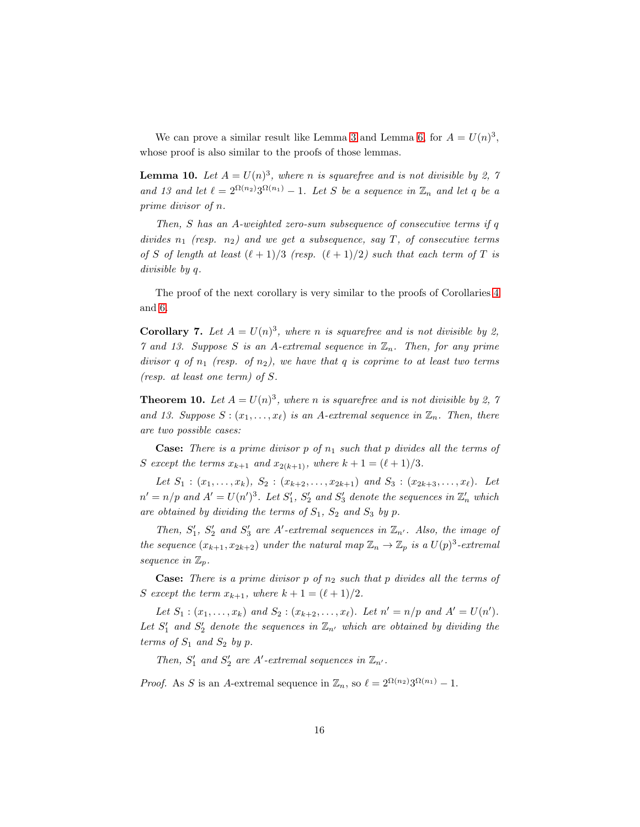We can prove a similar result like Lemma [3](#page-6-0) and Lemma [6,](#page-10-0) for  $A = U(n)^3$ , whose proof is also similar to the proofs of those lemmas.

<span id="page-15-0"></span>**Lemma 10.** Let  $A = U(n)^3$ , where n is squarefree and is not divisible by 2, 7 and 13 and let  $\ell = 2^{\Omega(n_2)} 3^{\Omega(n_1)} - 1$ . Let S be a sequence in  $\mathbb{Z}_n$  and let q be a prime divisor of n.

Then, S has an A-weighted zero-sum subsequence of consecutive terms if q divides  $n_1$  (resp.  $n_2$ ) and we get a subsequence, say T, of consecutive terms of S of length at least  $(\ell+1)/3$  (resp.  $(\ell+1)/2$ ) such that each term of T is divisible by q.

The proof of the next corollary is very similar to the proofs of Corollaries [4](#page-7-1) and [6.](#page-10-1)

<span id="page-15-1"></span>**Corollary 7.** Let  $A = U(n)^3$ , where n is squarefree and is not divisible by 2, 7 and 13. Suppose S is an A-extremal sequence in  $\mathbb{Z}_n$ . Then, for any prime divisor q of  $n_1$  (resp. of  $n_2$ ), we have that q is coprime to at least two terms (resp. at least one term) of S.

<span id="page-15-2"></span>**Theorem 10.** Let  $A = U(n)^3$ , where n is squarefree and is not divisible by 2, 7 and 13. Suppose  $S: (x_1, \ldots, x_\ell)$  is an A-extremal sequence in  $\mathbb{Z}_n$ . Then, there are two possible cases:

**Case:** There is a prime divisor p of  $n_1$  such that p divides all the terms of S except the terms  $x_{k+1}$  and  $x_{2(k+1)}$ , where  $k+1 = (\ell+1)/3$ .

Let  $S_1$  :  $(x_1, \ldots, x_k)$ ,  $S_2$  :  $(x_{k+2}, \ldots, x_{2k+1})$  and  $S_3$  :  $(x_{2k+3}, \ldots, x_\ell)$ . Let  $n' = n/p$  and  $A' = U(n')^3$ . Let  $S'_1$ ,  $S'_2$  and  $S'_3$  denote the sequences in  $\mathbb{Z}'_n$  which are obtained by dividing the terms of  $S_1$ ,  $S_2$  and  $S_3$  by p.

Then,  $S'_1$ ,  $S'_2$  and  $S'_3$  are A'-extremal sequences in  $\mathbb{Z}_{n'}$ . Also, the image of the sequence  $(x_{k+1}, x_{2k+2})$  under the natural map  $\mathbb{Z}_n \to \mathbb{Z}_p$  is a  $U(p)^3$ -extremal sequence in  $\mathbb{Z}_p$ .

**Case:** There is a prime divisor p of  $n_2$  such that p divides all the terms of S except the term  $x_{k+1}$ , where  $k+1 = (\ell+1)/2$ .

Let  $S_1$ :  $(x_1,...,x_k)$  and  $S_2$ :  $(x_{k+2},...,x_{\ell})$ . Let  $n' = n/p$  and  $A' = U(n')$ . Let  $S'_1$  and  $S'_2$  denote the sequences in  $\mathbb{Z}_{n'}$  which are obtained by dividing the terms of  $S_1$  and  $S_2$  by p.

Then,  $S'_1$  and  $S'_2$  are A'-extremal sequences in  $\mathbb{Z}_{n'}$ .

*Proof.* As S is an A-extremal sequence in  $\mathbb{Z}_n$ , so  $\ell = 2^{\Omega(n_2)}3^{\Omega(n_1)} - 1$ .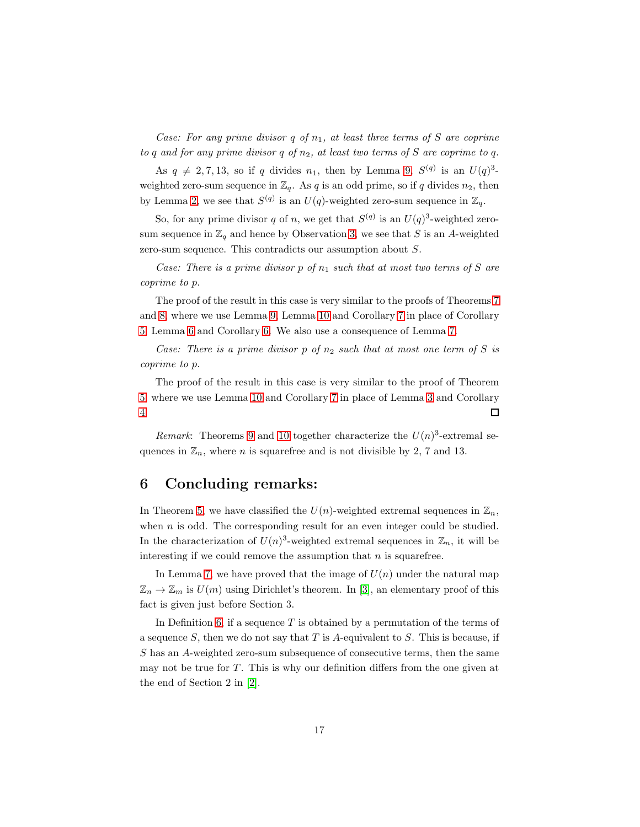Case: For any prime divisor  $q$  of  $n_1$ , at least three terms of S are coprime to q and for any prime divisor q of  $n_2$ , at least two terms of S are coprime to q.

As  $q \neq 2, 7, 13$ , so if q divides  $n_1$ , then by Lemma [9,](#page-14-0)  $S^{(q)}$  is an  $U(q)^3$ weighted zero-sum sequence in  $\mathbb{Z}_q$ . As q is an odd prime, so if q divides  $n_2$ , then by Lemma [2,](#page-5-2) we see that  $S^{(q)}$  is an  $U(q)$ -weighted zero-sum sequence in  $\mathbb{Z}_q$ .

So, for any prime divisor q of n, we get that  $S^{(q)}$  is an  $U(q)^3$ -weighted zerosum sequence in  $\mathbb{Z}_q$  and hence by Observation [3,](#page-5-4) we see that S is an A-weighted zero-sum sequence. This contradicts our assumption about S.

Case: There is a prime divisor p of  $n_1$  such that at most two terms of S are coprime to p.

The proof of the result in this case is very similar to the proofs of Theorems [7](#page-11-0) and [8,](#page-12-0) where we use Lemma [9,](#page-14-0) Lemma [10](#page-15-0) and Corollary [7](#page-15-1) in place of Corollary [5,](#page-9-0) Lemma [6](#page-10-0) and Corollary [6.](#page-10-1) We also use a consequence of Lemma [7.](#page-11-1)

Case: There is a prime divisor p of  $n_2$  such that at most one term of S is coprime to p.

The proof of the result in this case is very similar to the proof of Theorem [5,](#page-7-0) where we use Lemma [10](#page-15-0) and Corollary [7](#page-15-1) in place of Lemma [3](#page-6-0) and Corollary [4.](#page-7-1)  $\Box$ 

Remark: Theorems [9](#page-14-1) and [10](#page-15-2) together characterize the  $U(n)^3$ -extremal sequences in  $\mathbb{Z}_n$ , where *n* is squarefree and is not divisible by 2, 7 and 13.

#### 6 Concluding remarks:

In Theorem [5,](#page-7-0) we have classified the  $U(n)$ -weighted extremal sequences in  $\mathbb{Z}_n$ , when  $n$  is odd. The corresponding result for an even integer could be studied. In the characterization of  $U(n)^3$ -weighted extremal sequences in  $\mathbb{Z}_n$ , it will be interesting if we could remove the assumption that  $n$  is squarefree.

In Lemma [7,](#page-11-1) we have proved that the image of  $U(n)$  under the natural map  $\mathbb{Z}_n \to \mathbb{Z}_m$  is  $U(m)$  using Dirichlet's theorem. In [\[3\]](#page-17-4), an elementary proof of this fact is given just before Section 3.

In Definition [6,](#page-4-2) if a sequence  $T$  is obtained by a permutation of the terms of a sequence  $S$ , then we do not say that  $T$  is  $A$ -equivalent to  $S$ . This is because, if S has an A-weighted zero-sum subsequence of consecutive terms, then the same may not be true for  $T$ . This is why our definition differs from the one given at the end of Section 2 in [\[2\]](#page-17-2).